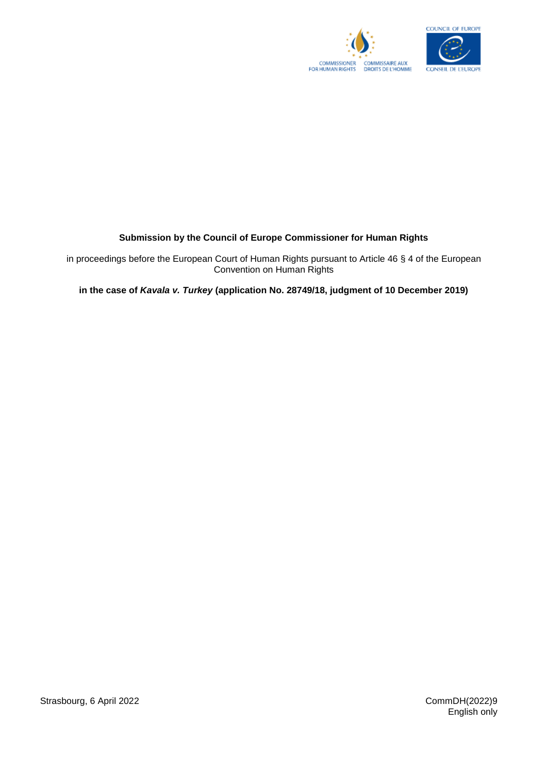



## **Submission by the Council of Europe Commissioner for Human Rights**

in proceedings before the European Court of Human Rights pursuant to Article 46 § 4 of the European Convention on Human Rights

**in the case of** *Kavala v. Turkey* **(application No. 28749/18, judgment of 10 December 2019)**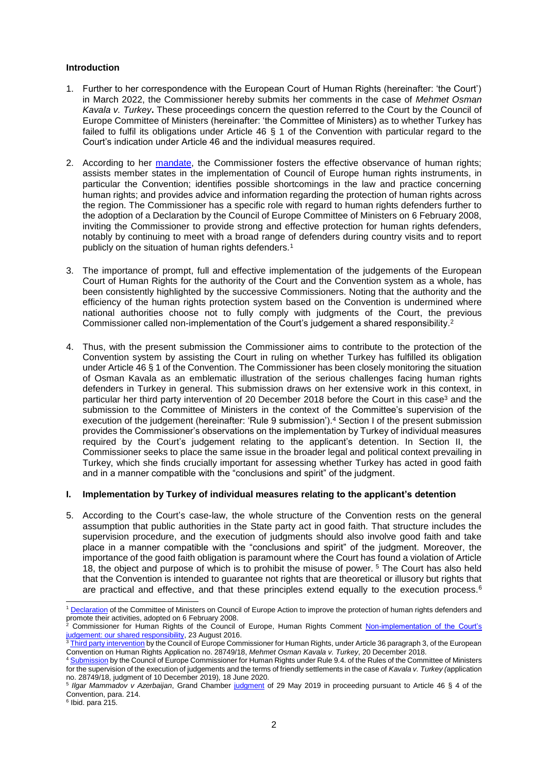## **Introduction**

- 1. Further to her correspondence with the European Court of Human Rights (hereinafter: 'the Court') in March 2022, the Commissioner hereby submits her comments in the case of *Mehmet Osman Kavala v. Turkey***.** These proceedings concern the question referred to the Court by the Council of Europe Committee of Ministers (hereinafter: 'the Committee of Ministers) as to whether Turkey has failed to fulfil its obligations under Article 46 § 1 of the Convention with particular regard to the Court's indication under Article 46 and the individual measures required.
- 2. According to her [mandate,](https://search.coe.int/cm/Pages/result_details.aspx?ObjectID=09000016805e305a) the Commissioner fosters the effective observance of human rights; assists member states in the implementation of Council of Europe human rights instruments, in particular the Convention; identifies possible shortcomings in the law and practice concerning human rights; and provides advice and information regarding the protection of human rights across the region. The Commissioner has a specific role with regard to human rights defenders further to the adoption of a Declaration by the Council of Europe Committee of Ministers on 6 February 2008, inviting the Commissioner to provide strong and effective protection for human rights defenders, notably by continuing to meet with a broad range of defenders during country visits and to report publicly on the situation of human rights defenders.<sup>1</sup>
- 3. The importance of prompt, full and effective implementation of the judgements of the European Court of Human Rights for the authority of the Court and the Convention system as a whole, has been consistently highlighted by the successive Commissioners. Noting that the authority and the efficiency of the human rights protection system based on the Convention is undermined where national authorities choose not to fully comply with judgments of the Court, the previous Commissioner called non-implementation of the Court's judgement a shared responsibility. 2
- 4. Thus, with the present submission the Commissioner aims to contribute to the protection of the Convention system by assisting the Court in ruling on whether Turkey has fulfilled its obligation under Article 46 § 1 of the Convention. The Commissioner has been closely monitoring the situation of Osman Kavala as an emblematic illustration of the serious challenges facing human rights defenders in Turkey in general. This submission draws on her extensive work in this context, in particular her third party intervention of 20 December 2018 before the Court in this case<sup>3</sup> and the submission to the Committee of Ministers in the context of the Committee's supervision of the execution of the judgement (hereinafter: 'Rule 9 submission'). <sup>4</sup> Section I of the present submission provides the Commissioner's observations on the implementation by Turkey of individual measures required by the Court's judgement relating to the applicant's detention. In Section II, the Commissioner seeks to place the same issue in the broader legal and political context prevailing in Turkey, which she finds crucially important for assessing whether Turkey has acted in good faith and in a manner compatible with the "conclusions and spirit" of the judgment.

## **I. Implementation by Turkey of individual measures relating to the applicant's detention**

5. According to the Court's case-law, the whole structure of the Convention rests on the general assumption that public authorities in the State party act in good faith. That structure includes the supervision procedure, and the execution of judgments should also involve good faith and take place in a manner compatible with the "conclusions and spirit" of the judgment. Moreover, the importance of the good faith obligation is paramount where the Court has found a violation of Article 18, the object and purpose of which is to prohibit the misuse of power. <sup>5</sup> The Court has also held that the Convention is intended to guarantee not rights that are theoretical or illusory but rights that are practical and effective, and that these principles extend equally to the execution process.<sup>6</sup>

6 Ibid. para 215.

-

<sup>1</sup> [Declaration](https://search.coe.int/cm/Pages/result_details.aspx?ObjectID=09000016805d3e52) of the Committee of Ministers on Council of Europe Action to improve the protection of human rights defenders and promote their activities, adopted on 6 February 2008.

<sup>2</sup> Commissioner for Human Rights of the Council of Europe, Human Rights Comment [Non-implementation of the Court's](https://www.coe.int/en/web/commissioner/-/non-implementation-of-the-court-s-judgments-our-shared-responsibility)  [judgement: our shared responsibility,](https://www.coe.int/en/web/commissioner/-/non-implementation-of-the-court-s-judgments-our-shared-responsibility) 23 August 2016.

 $3$  [Third party intervention](https://www.coe.int/en/web/commissioner/-/commissioner-mijatovic-intervenes-before-the-european-court-of-human-rights-in-the-case-of-mehmet-osman-kavala-v-turkey) by the Council of Europe Commissioner for Human Rights, under Article 36 paragraph 3, of the European Convention on Human Rights Application no. 28749/18, *Mehmet Osman Kavala v. Turkey*, 20 December 2018.

[Submission](https://www.coe.int/en/web/commissioner/-/the-turkish-authorities-should-release-osman-kavala-and-take-far-reaching-measures-to-prevent-the-misuse-of-detentions-on-remand) by the Council of Europe Commissioner for Human Rights under Rule 9.4. of the Rules of the Committee of Ministers for the supervision of the execution of judgements and the terms of friendly settlements in the case of *Kavala v. Turkey (*application no. 28749/18, judgment of 10 December 2019)*,* 18 June 2020. 5

*Ilgar Mammadov v Azerbaijan*, Grand Chamber [judgment](https://hudoc.echr.coe.int/eng?i=001-193543) of 29 May 2019 in proceeding pursuant to Article 46 § 4 of the Convention, para. 214.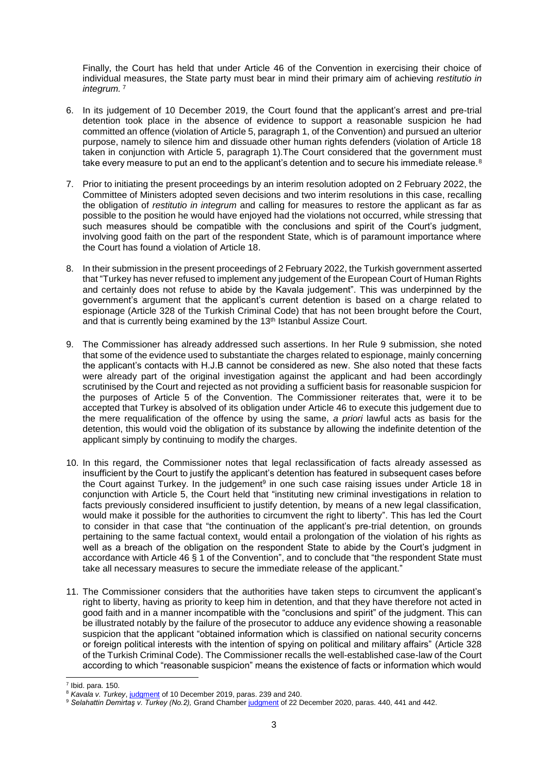Finally, the Court has held that under Article 46 of the Convention in exercising their choice of individual measures, the State party must bear in mind their primary aim of achieving *restitutio in integrum.* <sup>7</sup>

- 6. In its judgement of 10 December 2019, the Court found that the applicant's arrest and pre-trial detention took place in the absence of evidence to support a reasonable suspicion he had committed an offence (violation of Article 5, paragraph 1, of the Convention) and pursued an ulterior purpose, namely to silence him and dissuade other human rights defenders (violation of Article 18 taken in conjunction with Article 5, paragraph 1).The Court considered that the government must take every measure to put an end to the applicant's detention and to secure his immediate release.<sup>8</sup>
- 7. Prior to initiating the present proceedings by an interim resolution adopted on 2 February 2022, the Committee of Ministers adopted seven decisions and two interim resolutions in this case, recalling the obligation of *restitutio in integrum* and calling for measures to restore the applicant as far as possible to the position he would have enjoyed had the violations not occurred, while stressing that such measures should be compatible with the conclusions and spirit of the Court's judgment, involving good faith on the part of the respondent State, which is of paramount importance where the Court has found a violation of Article 18.
- 8. In their submission in the present proceedings of 2 February 2022, the Turkish government asserted that "Turkey has never refused to implement any judgement of the European Court of Human Rights and certainly does not refuse to abide by the Kavala judgement". This was underpinned by the government's argument that the applicant's current detention is based on a charge related to espionage (Article 328 of the Turkish Criminal Code) that has not been brought before the Court, and that is currently being examined by the 13<sup>th</sup> Istanbul Assize Court.
- 9. The Commissioner has already addressed such assertions. In her Rule 9 submission, she noted that some of the evidence used to substantiate the charges related to espionage, mainly concerning the applicant's contacts with H.J.B cannot be considered as new. She also noted that these facts were already part of the original investigation against the applicant and had been accordingly scrutinised by the Court and rejected as not providing a sufficient basis for reasonable suspicion for the purposes of Article 5 of the Convention. The Commissioner reiterates that, were it to be accepted that Turkey is absolved of its obligation under Article 46 to execute this judgement due to the mere requalification of the offence by using the same, *a priori* lawful acts as basis for the detention, this would void the obligation of its substance by allowing the indefinite detention of the applicant simply by continuing to modify the charges.
- 10. In this regard, the Commissioner notes that legal reclassification of facts already assessed as insufficient by the Court to justify the applicant's detention has featured in subsequent cases before the Court against Turkey. In the judgement<sup>9</sup> in one such case raising issues under Article 18 in conjunction with Article 5, the Court held that "instituting new criminal investigations in relation to facts previously considered insufficient to justify detention, by means of a new legal classification, would make it possible for the authorities to circumvent the right to liberty". This has led the Court to consider in that case that "the continuation of the applicant's pre-trial detention, on grounds pertaining to the same factual context, would entail a prolongation of the violation of his rights as well as a breach of the obligation on the respondent State to abide by the Court's judgment in accordance with Article 46 § 1 of the Convention", and to conclude that "the respondent State must take all necessary measures to secure the immediate release of the applicant."
- 11. The Commissioner considers that the authorities have taken steps to circumvent the applicant's right to liberty, having as priority to keep him in detention, and that they have therefore not acted in good faith and in a manner incompatible with the "conclusions and spirit" of the judgment. This can be illustrated notably by the failure of the prosecutor to adduce any evidence showing a reasonable suspicion that the applicant "obtained information which is classified on national security concerns or foreign political interests with the intention of spying on political and military affairs" (Article 328 of the Turkish Criminal Code). The Commissioner recalls the well-established case-law of the Court according to which "reasonable suspicion" means the existence of facts or information which would
- 1  $<sup>7</sup>$  Ibid. para. 150.</sup>

<sup>8</sup> *Kavala v. Turkey*, [judgment](https://hudoc.echr.coe.int/eng?i=001-199515) of 10 December 2019, paras. 239 and 240.

<sup>&</sup>lt;sup>9</sup> Selahattin Demirtaş v. Turkey (No.2), Grand Chambe[r judgment](https://hudoc.echr.coe.int/eng?i=001-207173) of 22 December 2020, paras. 440, 441 and 442.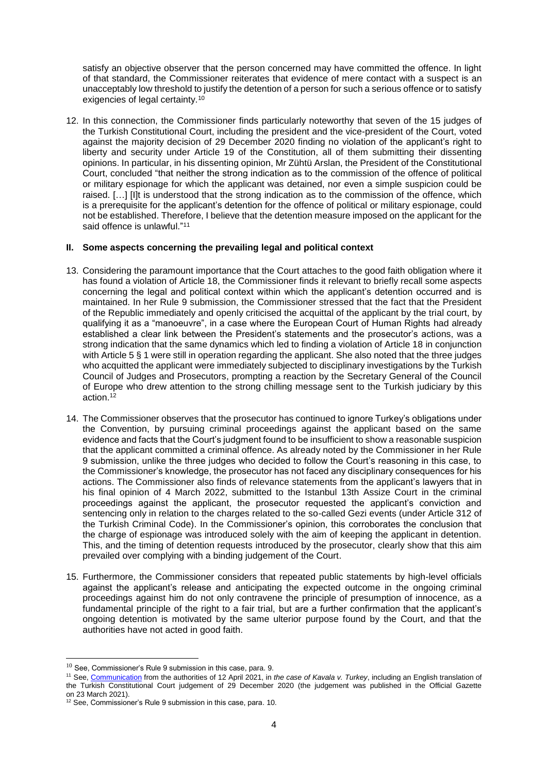satisfy an objective observer that the person concerned may have committed the offence. In light of that standard, the Commissioner reiterates that evidence of mere contact with a suspect is an unacceptably low threshold to justify the detention of a person for such a serious offence or to satisfy exigencies of legal certainty.<sup>10</sup>

12. In this connection, the Commissioner finds particularly noteworthy that seven of the 15 judges of the Turkish Constitutional Court, including the president and the vice-president of the Court, voted against the majority decision of 29 December 2020 finding no violation of the applicant's right to liberty and security under Article 19 of the Constitution, all of them submitting their dissenting opinions. In particular, in his dissenting opinion, Mr Zühtü Arslan, the President of the Constitutional Court, concluded "that neither the strong indication as to the commission of the offence of political or military espionage for which the applicant was detained, nor even a simple suspicion could be raised. […] [I]t is understood that the strong indication as to the commission of the offence, which is a prerequisite for the applicant's detention for the offence of political or military espionage, could not be established. Therefore, I believe that the detention measure imposed on the applicant for the said offence is unlawful."<sup>11</sup>

## **II. Some aspects concerning the prevailing legal and political context**

- 13. Considering the paramount importance that the Court attaches to the good faith obligation where it has found a violation of Article 18, the Commissioner finds it relevant to briefly recall some aspects concerning the legal and political context within which the applicant's detention occurred and is maintained. In her Rule 9 submission, the Commissioner stressed that the fact that the President of the Republic immediately and openly criticised the acquittal of the applicant by the trial court, by qualifying it as a "manoeuvre", in a case where the European Court of Human Rights had already established a clear link between the President's statements and the prosecutor's actions, was a strong indication that the same dynamics which led to finding a violation of Article 18 in conjunction with Article 5 § 1 were still in operation regarding the applicant. She also noted that the three judges who acquitted the applicant were immediately subjected to disciplinary investigations by the Turkish Council of Judges and Prosecutors, prompting a reaction by the Secretary General of the Council of Europe who drew attention to the strong chilling message sent to the Turkish judiciary by this action. 12
- 14. The Commissioner observes that the prosecutor has continued to ignore Turkey's obligations under the Convention, by pursuing criminal proceedings against the applicant based on the same evidence and facts that the Court's judgment found to be insufficient to show a reasonable suspicion that the applicant committed a criminal offence. As already noted by the Commissioner in her Rule 9 submission, unlike the three judges who decided to follow the Court's reasoning in this case, to the Commissioner's knowledge, the prosecutor has not faced any disciplinary consequences for his actions. The Commissioner also finds of relevance statements from the applicant's lawyers that in his final opinion of 4 March 2022, submitted to the Istanbul 13th Assize Court in the criminal proceedings against the applicant, the prosecutor requested the applicant's conviction and sentencing only in relation to the charges related to the so-called Gezi events (under Article 312 of the Turkish Criminal Code). In the Commissioner's opinion, this corroborates the conclusion that the charge of espionage was introduced solely with the aim of keeping the applicant in detention. This, and the timing of detention requests introduced by the prosecutor, clearly show that this aim prevailed over complying with a binding judgement of the Court.
- 15. Furthermore, the Commissioner considers that repeated public statements by high-level officials against the applicant's release and anticipating the expected outcome in the ongoing criminal proceedings against him do not only contravene the principle of presumption of innocence, as a fundamental principle of the right to a fair trial, but are a further confirmation that the applicant's ongoing detention is motivated by the same ulterior purpose found by the Court, and that the authorities have not acted in good faith.

1

 $10$  See, Commissioner's Rule 9 submission in this case, para. 9.

<sup>11</sup> See, [Communication](https://hudoc.exec.coe.int/eng?i=DH-DD(2021)391E) from the authorities of 12 April 2021, in *the case of Kavala v. Turkey*, including an English translation of the Turkish Constitutional Court judgement of 29 December 2020 (the judgement was published in the Official Gazette on 23 March 2021).

<sup>12</sup> See, Commissioner's Rule 9 submission in this case, para. 10.